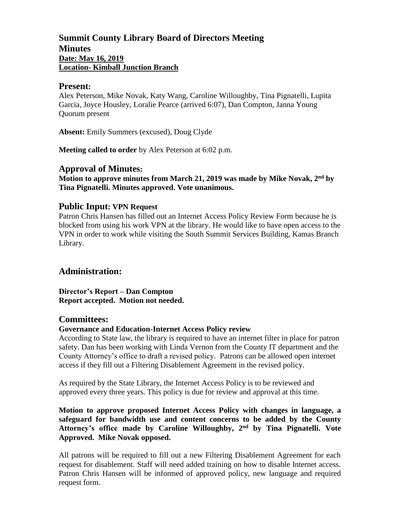# **Summit County Library Board of Directors Meeting Minutes Date: May 16, 2019 Location- Kimball Junction Branch**

#### **Present:**

Alex Peterson, Mike Novak, Katy Wang, Caroline Willoughby, Tina Pignatelli, Lupita Garcia, Joyce Housley, Loralie Pearce (arrived 6:07), Dan Compton, Janna Young Quorum present

**Absent:** Emily Summers (excused), Doug Clyde

**Meeting called to order** by Alex Peterson at 6:02 p.m.

## **Approval of Minutes:**

**Motion to approve minutes from March 21, 2019 was made by Mike Novak, 2 nd by Tina Pignatelli. Minutes approved. Vote unanimous.**

## **Public Input: VPN Request**

Patron Chris Hansen has filled out an Internet Access Policy Review Form because he is blocked from using his work VPN at the library. He would like to have open access to the VPN in order to work while visiting the South Summit Services Building, Kamas Branch Library.

# **Administration:**

**Director's Report – Dan Compton Report accepted. Motion not needed.**

#### **Committees:**

#### **Governance and Education-Internet Access Policy review**

According to State law, the library is required to have an internet filter in place for patron safety. Dan has been working with Linda Vernon from the County IT department and the County Attorney's office to draft a revised policy. Patrons can be allowed open internet access if they fill out a Filtering Disablement Agreement in the revised policy.

As required by the State Library, the Internet Access Policy is to be reviewed and approved every three years. This policy is due for review and approval at this time.

## **Motion to approve proposed Internet Access Policy with changes in language, a safeguard for bandwidth use and content concerns to be added by the County Attorney's office made by Caroline Willoughby, 2nd by Tina Pignatelli. Vote Approved. Mike Novak opposed.**

All patrons will be required to fill out a new Filtering Disablement Agreement for each request for disablement. Staff will need added training on how to disable Internet access. Patron Chris Hansen will be informed of approved policy, new language and required request form.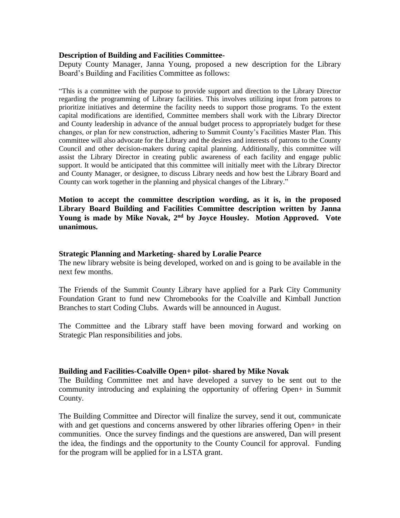#### **Description of Building and Facilities Committee-**

Deputy County Manager, Janna Young, proposed a new description for the Library Board's Building and Facilities Committee as follows:

"This is a committee with the purpose to provide support and direction to the Library Director regarding the programming of Library facilities. This involves utilizing input from patrons to prioritize initiatives and determine the facility needs to support those programs. To the extent capital modifications are identified, Committee members shall work with the Library Director and County leadership in advance of the annual budget process to appropriately budget for these changes, or plan for new construction, adhering to Summit County's Facilities Master Plan. This committee will also advocate for the Library and the desires and interests of patrons to the County Council and other decision-makers during capital planning. Additionally, this committee will assist the Library Director in creating public awareness of each facility and engage public support. It would be anticipated that this committee will initially meet with the Library Director and County Manager, or designee, to discuss Library needs and how best the Library Board and County can work together in the planning and physical changes of the Library."

**Motion to accept the committee description wording, as it is, in the proposed Library Board Building and Facilities Committee description written by Janna Young is made by Mike Novak, 2nd by Joyce Housley. Motion Approved. Vote unanimous.**

#### **Strategic Planning and Marketing- shared by Loralie Pearce**

The new library website is being developed, worked on and is going to be available in the next few months.

The Friends of the Summit County Library have applied for a Park City Community Foundation Grant to fund new Chromebooks for the Coalville and Kimball Junction Branches to start Coding Clubs. Awards will be announced in August.

The Committee and the Library staff have been moving forward and working on Strategic Plan responsibilities and jobs.

#### **Building and Facilities-Coalville Open+ pilot- shared by Mike Novak**

The Building Committee met and have developed a survey to be sent out to the community introducing and explaining the opportunity of offering Open+ in Summit County.

The Building Committee and Director will finalize the survey, send it out, communicate with and get questions and concerns answered by other libraries offering Open+ in their communities. Once the survey findings and the questions are answered, Dan will present the idea, the findings and the opportunity to the County Council for approval. Funding for the program will be applied for in a LSTA grant.